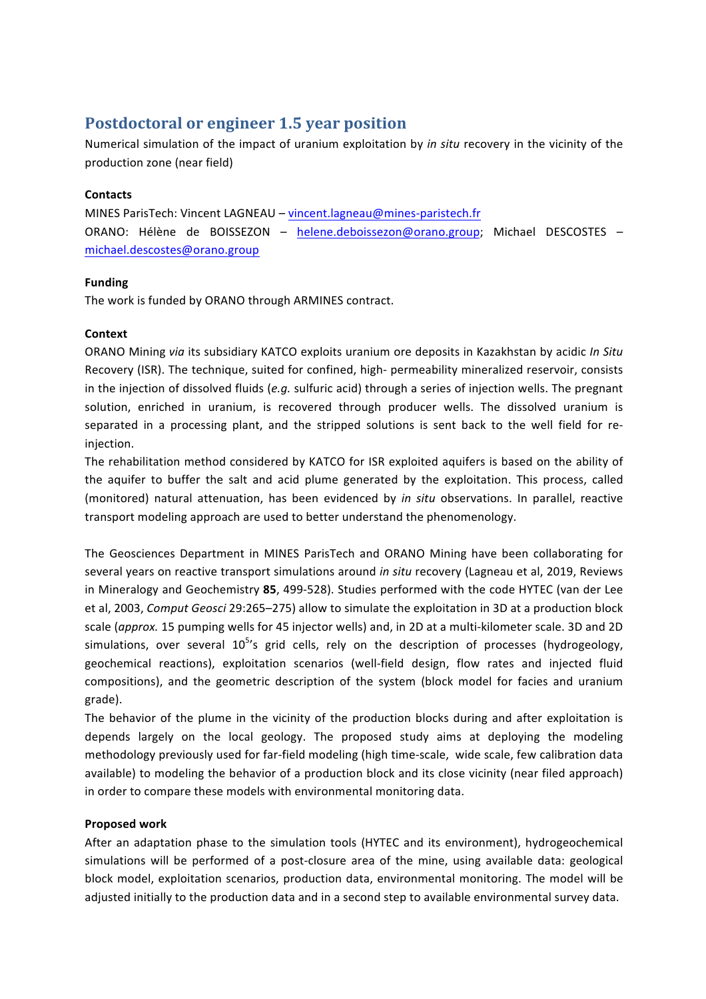# **Postdoctoral or engineer 1.5 year position**

Numerical simulation of the impact of uranium exploitation by *in situ* recovery in the vicinity of the production zone (near field)

## **Contacts**

MINES ParisTech: Vincent LAGNEAU – vincent.lagneau@mines-paristech.fr ORANO: Hélène de BOISSEZON – helene.deboissezon@orano.group; Michael DESCOSTES – michael.descostes@orano.group

## **Funding**

The work is funded by ORANO through ARMINES contract.

## **Context**

ORANO Mining via its subsidiary KATCO exploits uranium ore deposits in Kazakhstan by acidic *In Situ* Recovery (ISR). The technique, suited for confined, high- permeability mineralized reservoir, consists in the injection of dissolved fluids (e.g. sulfuric acid) through a series of injection wells. The pregnant solution, enriched in uranium, is recovered through producer wells. The dissolved uranium is separated in a processing plant, and the stripped solutions is sent back to the well field for reinjection. 

The rehabilitation method considered by KATCO for ISR exploited aquifers is based on the ability of the aquifer to buffer the salt and acid plume generated by the exploitation. This process, called (monitored) natural attenuation, has been evidenced by *in situ* observations. In parallel, reactive transport modeling approach are used to better understand the phenomenology.

The Geosciences Department in MINES ParisTech and ORANO Mining have been collaborating for several years on reactive transport simulations around *in situ* recovery (Lagneau et al, 2019, Reviews in Mineralogy and Geochemistry 85, 499-528). Studies performed with the code HYTEC (van der Lee et al, 2003, *Comput Geosci* 29:265–275) allow to simulate the exploitation in 3D at a production block scale (*approx.* 15 pumping wells for 45 injector wells) and, in 2D at a multi-kilometer scale. 3D and 2D simulations, over several 10<sup>5'</sup>s grid cells, rely on the description of processes (hydrogeology, geochemical reactions), exploitation scenarios (well-field design, flow rates and injected fluid compositions), and the geometric description of the system (block model for facies and uranium grade). 

The behavior of the plume in the vicinity of the production blocks during and after exploitation is depends largely on the local geology. The proposed study aims at deploying the modeling methodology previously used for far-field modeling (high time-scale, wide scale, few calibration data available) to modeling the behavior of a production block and its close vicinity (near filed approach) in order to compare these models with environmental monitoring data.

#### **Proposed work**

After an adaptation phase to the simulation tools (HYTEC and its environment), hydrogeochemical simulations will be performed of a post-closure area of the mine, using available data: geological block model, exploitation scenarios, production data, environmental monitoring. The model will be adjusted initially to the production data and in a second step to available environmental survey data.